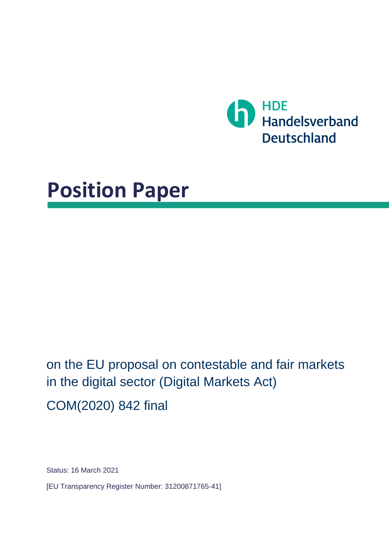

# **Position Paper**

on the EU proposal on contestable and fair markets in the digital sector (Digital Markets Act) COM(2020) 842 final

Status: 16 March 2021

[EU Transparency Register Number: 31200871765-41]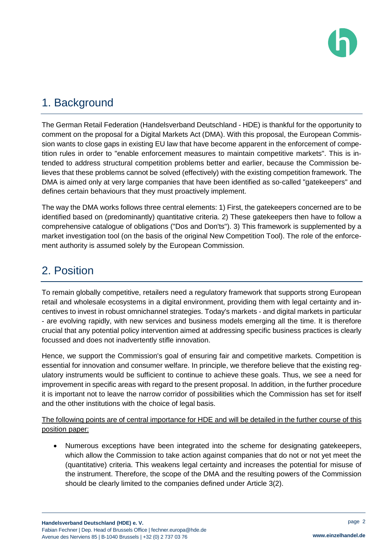

# 1. Background

The German Retail Federation (Handelsverband Deutschland - HDE) is thankful for the opportunity to comment on the proposal for a Digital Markets Act (DMA). With this proposal, the European Commission wants to close gaps in existing EU law that have become apparent in the enforcement of competition rules in order to "enable enforcement measures to maintain competitive markets". This is intended to address structural competition problems better and earlier, because the Commission believes that these problems cannot be solved (effectively) with the existing competition framework. The DMA is aimed only at very large companies that have been identified as so-called "gatekeepers" and defines certain behaviours that they must proactively implement.

The way the DMA works follows three central elements: 1) First, the gatekeepers concerned are to be identified based on (predominantly) quantitative criteria. 2) These gatekeepers then have to follow a comprehensive catalogue of obligations ("Dos and Don'ts"). 3) This framework is supplemented by a market investigation tool (on the basis of the original New Competition Tool). The role of the enforcement authority is assumed solely by the European Commission.

## 2. Position

To remain globally competitive, retailers need a regulatory framework that supports strong European retail and wholesale ecosystems in a digital environment, providing them with legal certainty and incentives to invest in robust omnichannel strategies. Today's markets - and digital markets in particular - are evolving rapidly, with new services and business models emerging all the time. It is therefore crucial that any potential policy intervention aimed at addressing specific business practices is clearly focussed and does not inadvertently stifle innovation.

Hence, we support the Commission's goal of ensuring fair and competitive markets. Competition is essential for innovation and consumer welfare. In principle, we therefore believe that the existing regulatory instruments would be sufficient to continue to achieve these goals. Thus, we see a need for improvement in specific areas with regard to the present proposal. In addition, in the further procedure it is important not to leave the narrow corridor of possibilities which the Commission has set for itself and the other institutions with the choice of legal basis.

The following points are of central importance for HDE and will be detailed in the further course of this position paper:

 Numerous exceptions have been integrated into the scheme for designating gatekeepers, which allow the Commission to take action against companies that do not or not yet meet the (quantitative) criteria. This weakens legal certainty and increases the potential for misuse of the instrument. Therefore, the scope of the DMA and the resulting powers of the Commission should be clearly limited to the companies defined under Article 3(2).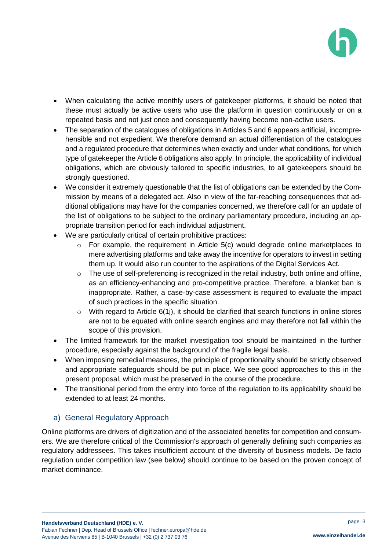

- When calculating the active monthly users of gatekeeper platforms, it should be noted that these must actually be active users who use the platform in question continuously or on a repeated basis and not just once and consequently having become non-active users.
- The separation of the catalogues of obligations in Articles 5 and 6 appears artificial, incomprehensible and not expedient. We therefore demand an actual differentiation of the catalogues and a regulated procedure that determines when exactly and under what conditions, for which type of gatekeeper the Article 6 obligations also apply. In principle, the applicability of individual obligations, which are obviously tailored to specific industries, to all gatekeepers should be strongly questioned.
- We consider it extremely questionable that the list of obligations can be extended by the Commission by means of a delegated act. Also in view of the far-reaching consequences that additional obligations may have for the companies concerned, we therefore call for an update of the list of obligations to be subject to the ordinary parliamentary procedure, including an appropriate transition period for each individual adjustment.
- We are particularly critical of certain prohibitive practices:
	- $\circ$  For example, the requirement in Article 5(c) would degrade online marketplaces to mere advertising platforms and take away the incentive for operators to invest in setting them up. It would also run counter to the aspirations of the Digital Services Act.
	- $\circ$  The use of self-preferencing is recognized in the retail industry, both online and offline, as an efficiency-enhancing and pro-competitive practice. Therefore, a blanket ban is inappropriate. Rather, a case-by-case assessment is required to evaluate the impact of such practices in the specific situation.
	- $\circ$  With regard to Article 6(1), it should be clarified that search functions in online stores are not to be equated with online search engines and may therefore not fall within the scope of this provision.
- The limited framework for the market investigation tool should be maintained in the further procedure, especially against the background of the fragile legal basis.
- When imposing remedial measures, the principle of proportionality should be strictly observed and appropriate safeguards should be put in place. We see good approaches to this in the present proposal, which must be preserved in the course of the procedure.
- The transitional period from the entry into force of the regulation to its applicability should be extended to at least 24 months.

## a) General Regulatory Approach

Online platforms are drivers of digitization and of the associated benefits for competition and consumers. We are therefore critical of the Commission's approach of generally defining such companies as regulatory addressees. This takes insufficient account of the diversity of business models. De facto regulation under competition law (see below) should continue to be based on the proven concept of market dominance.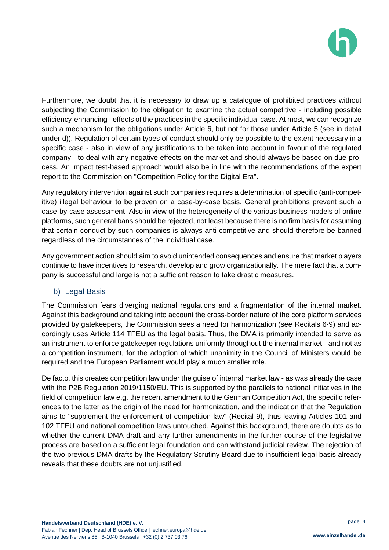

Furthermore, we doubt that it is necessary to draw up a catalogue of prohibited practices without subjecting the Commission to the obligation to examine the actual competitive - including possible efficiency-enhancing - effects of the practices in the specific individual case. At most, we can recognize such a mechanism for the obligations under Article 6, but not for those under Article 5 (see in detail under d)). Regulation of certain types of conduct should only be possible to the extent necessary in a specific case - also in view of any justifications to be taken into account in favour of the regulated company - to deal with any negative effects on the market and should always be based on due process. An impact test-based approach would also be in line with the recommendations of the expert report to the Commission on "Competition Policy for the Digital Era".

Any regulatory intervention against such companies requires a determination of specific (anti-competitive) illegal behaviour to be proven on a case-by-case basis. General prohibitions prevent such a case-by-case assessment. Also in view of the heterogeneity of the various business models of online platforms, such general bans should be rejected, not least because there is no firm basis for assuming that certain conduct by such companies is always anti-competitive and should therefore be banned regardless of the circumstances of the individual case.

Any government action should aim to avoid unintended consequences and ensure that market players continue to have incentives to research, develop and grow organizationally. The mere fact that a company is successful and large is not a sufficient reason to take drastic measures.

#### b) Legal Basis

The Commission fears diverging national regulations and a fragmentation of the internal market. Against this background and taking into account the cross-border nature of the core platform services provided by gatekeepers, the Commission sees a need for harmonization (see Recitals 6-9) and accordingly uses Article 114 TFEU as the legal basis. Thus, the DMA is primarily intended to serve as an instrument to enforce gatekeeper regulations uniformly throughout the internal market - and not as a competition instrument, for the adoption of which unanimity in the Council of Ministers would be required and the European Parliament would play a much smaller role.

De facto, this creates competition law under the guise of internal market law - as was already the case with the P2B Regulation 2019/1150/EU. This is supported by the parallels to national initiatives in the field of competition law e.g. the recent amendment to the German Competition Act, the specific references to the latter as the origin of the need for harmonization, and the indication that the Regulation aims to "supplement the enforcement of competition law" (Recital 9), thus leaving Articles 101 and 102 TFEU and national competition laws untouched. Against this background, there are doubts as to whether the current DMA draft and any further amendments in the further course of the legislative process are based on a sufficient legal foundation and can withstand judicial review. The rejection of the two previous DMA drafts by the Regulatory Scrutiny Board due to insufficient legal basis already reveals that these doubts are not unjustified.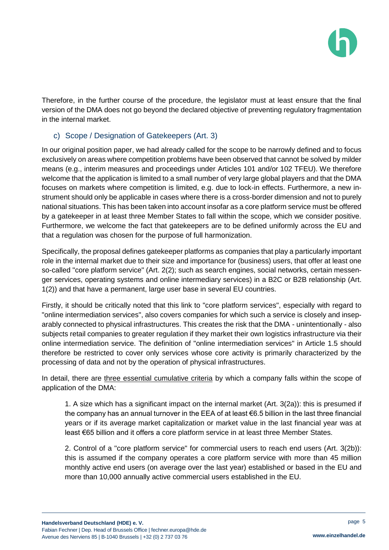

Therefore, in the further course of the procedure, the legislator must at least ensure that the final version of the DMA does not go beyond the declared objective of preventing regulatory fragmentation in the internal market.

#### c) Scope / Designation of Gatekeepers (Art. 3)

In our original position paper, we had already called for the scope to be narrowly defined and to focus exclusively on areas where competition problems have been observed that cannot be solved by milder means (e.g., interim measures and proceedings under Articles 101 and/or 102 TFEU). We therefore welcome that the application is limited to a small number of very large global players and that the DMA focuses on markets where competition is limited, e.g. due to lock-in effects. Furthermore, a new instrument should only be applicable in cases where there is a cross-border dimension and not to purely national situations. This has been taken into account insofar as a core platform service must be offered by a gatekeeper in at least three Member States to fall within the scope, which we consider positive. Furthermore, we welcome the fact that gatekeepers are to be defined uniformly across the EU and that a regulation was chosen for the purpose of full harmonization.

Specifically, the proposal defines gatekeeper platforms as companies that play a particularly important role in the internal market due to their size and importance for (business) users, that offer at least one so-called "core platform service" (Art. 2(2); such as search engines, social networks, certain messenger services, operating systems and online intermediary services) in a B2C or B2B relationship (Art. 1(2)) and that have a permanent, large user base in several EU countries.

Firstly, it should be critically noted that this link to "core platform services", especially with regard to "online intermediation services", also covers companies for which such a service is closely and inseparably connected to physical infrastructures. This creates the risk that the DMA - unintentionally - also subjects retail companies to greater regulation if they market their own logistics infrastructure via their online intermediation service. The definition of "online intermediation services" in Article 1.5 should therefore be restricted to cover only services whose core activity is primarily characterized by the processing of data and not by the operation of physical infrastructures.

In detail, there are three essential cumulative criteria by which a company falls within the scope of application of the DMA:

1. A size which has a significant impact on the internal market (Art. 3(2a)): this is presumed if the company has an annual turnover in the EEA of at least €6.5 billion in the last three financial years or if its average market capitalization or market value in the last financial year was at least €65 billion and it offers a core platform service in at least three Member States.

2. Control of a "core platform service" for commercial users to reach end users (Art. 3(2b)): this is assumed if the company operates a core platform service with more than 45 million monthly active end users (on average over the last year) established or based in the EU and more than 10,000 annually active commercial users established in the EU.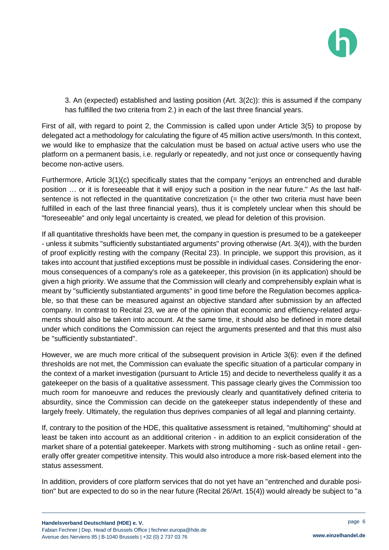

3. An (expected) established and lasting position (Art. 3(2c)): this is assumed if the company has fulfilled the two criteria from 2.) in each of the last three financial years.

First of all, with regard to point 2, the Commission is called upon under Article 3(5) to propose by delegated act a methodology for calculating the figure of 45 million active users/month. In this context, we would like to emphasize that the calculation must be based on *actual* active users who use the platform on a permanent basis, i.e. regularly or repeatedly, and not just once or consequently having become non-active users.

Furthermore, Article 3(1)(c) specifically states that the company "enjoys an entrenched and durable position … or it is foreseeable that it will enjoy such a position in the near future." As the last halfsentence is not reflected in the quantitative concretization (= the other two criteria must have been fulfilled in each of the last three financial years), thus it is completely unclear when this should be "foreseeable" and only legal uncertainty is created, we plead for deletion of this provision.

If all quantitative thresholds have been met, the company in question is presumed to be a gatekeeper - unless it submits "sufficiently substantiated arguments" proving otherwise (Art. 3(4)), with the burden of proof explicitly resting with the company (Recital 23). In principle, we support this provision, as it takes into account that justified exceptions must be possible in individual cases. Considering the enormous consequences of a company's role as a gatekeeper, this provision (in its application) should be given a high priority. We assume that the Commission will clearly and comprehensibly explain what is meant by "sufficiently substantiated arguments" in good time before the Regulation becomes applicable, so that these can be measured against an objective standard after submission by an affected company. In contrast to Recital 23, we are of the opinion that economic and efficiency-related arguments should also be taken into account. At the same time, it should also be defined in more detail under which conditions the Commission can reject the arguments presented and that this must also be "sufficiently substantiated".

However, we are much more critical of the subsequent provision in Article 3(6): even if the defined thresholds are not met, the Commission can evaluate the specific situation of a particular company in the context of a market investigation (pursuant to Article 15) and decide to nevertheless qualify it as a gatekeeper on the basis of a qualitative assessment. This passage clearly gives the Commission too much room for manoeuvre and reduces the previously clearly and quantitatively defined criteria to absurdity, since the Commission can decide on the gatekeeper status independently of these and largely freely. Ultimately, the regulation thus deprives companies of all legal and planning certainty.

If, contrary to the position of the HDE, this qualitative assessment is retained, "multihoming" should at least be taken into account as an additional criterion - in addition to an explicit consideration of the market share of a potential gatekeeper. Markets with strong multihoming - such as online retail - generally offer greater competitive intensity. This would also introduce a more risk-based element into the status assessment.

In addition, providers of core platform services that do not yet have an "entrenched and durable position" but are expected to do so in the near future (Recital 26/Art. 15(4)) would already be subject to "a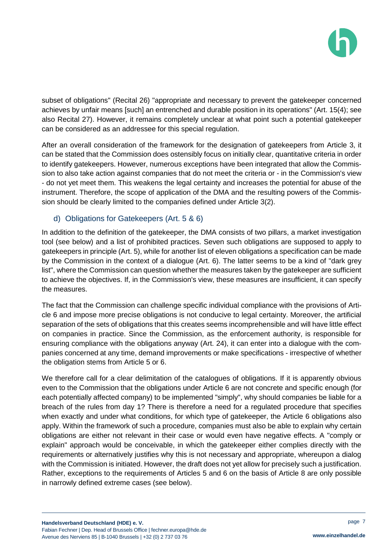

subset of obligations" (Recital 26) "appropriate and necessary to prevent the gatekeeper concerned achieves by unfair means [such] an entrenched and durable position in its operations" (Art. 15(4); see also Recital 27). However, it remains completely unclear at what point such a potential gatekeeper can be considered as an addressee for this special regulation.

After an overall consideration of the framework for the designation of gatekeepers from Article 3, it can be stated that the Commission does ostensibly focus on initially clear, quantitative criteria in order to identify gatekeepers. However, numerous exceptions have been integrated that allow the Commission to also take action against companies that do not meet the criteria or - in the Commission's view - do not yet meet them. This weakens the legal certainty and increases the potential for abuse of the instrument. Therefore, the scope of application of the DMA and the resulting powers of the Commission should be clearly limited to the companies defined under Article 3(2).

#### d) Obligations for Gatekeepers (Art. 5 & 6)

In addition to the definition of the gatekeeper, the DMA consists of two pillars, a market investigation tool (see below) and a list of prohibited practices. Seven such obligations are supposed to apply to gatekeepers in principle (Art. 5), while for another list of eleven obligations a specification can be made by the Commission in the context of a dialogue (Art. 6). The latter seems to be a kind of "dark grey list", where the Commission can question whether the measures taken by the gatekeeper are sufficient to achieve the objectives. If, in the Commission's view, these measures are insufficient, it can specify the measures.

The fact that the Commission can challenge specific individual compliance with the provisions of Article 6 and impose more precise obligations is not conducive to legal certainty. Moreover, the artificial separation of the sets of obligations that this creates seems incomprehensible and will have little effect on companies in practice. Since the Commission, as the enforcement authority, is responsible for ensuring compliance with the obligations anyway (Art. 24), it can enter into a dialogue with the companies concerned at any time, demand improvements or make specifications - irrespective of whether the obligation stems from Article 5 or 6.

We therefore call for a clear delimitation of the catalogues of obligations. If it is apparently obvious even to the Commission that the obligations under Article 6 are not concrete and specific enough (for each potentially affected company) to be implemented "simply", why should companies be liable for a breach of the rules from day 1? There is therefore a need for a regulated procedure that specifies when exactly and under what conditions, for which type of gatekeeper, the Article 6 obligations also apply. Within the framework of such a procedure, companies must also be able to explain why certain obligations are either not relevant in their case or would even have negative effects. A "comply or explain" approach would be conceivable, in which the gatekeeper either complies directly with the requirements or alternatively justifies why this is not necessary and appropriate, whereupon a dialog with the Commission is initiated. However, the draft does not yet allow for precisely such a justification. Rather, exceptions to the requirements of Articles 5 and 6 on the basis of Article 8 are only possible in narrowly defined extreme cases (see below).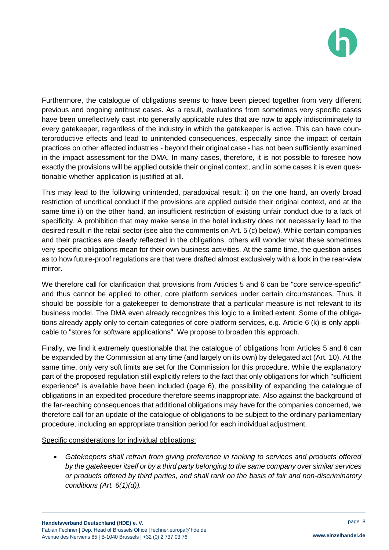

Furthermore, the catalogue of obligations seems to have been pieced together from very different previous and ongoing antitrust cases. As a result, evaluations from sometimes very specific cases have been unreflectively cast into generally applicable rules that are now to apply indiscriminately to every gatekeeper, regardless of the industry in which the gatekeeper is active. This can have counterproductive effects and lead to unintended consequences, especially since the impact of certain practices on other affected industries - beyond their original case - has not been sufficiently examined in the impact assessment for the DMA. In many cases, therefore, it is not possible to foresee how exactly the provisions will be applied outside their original context, and in some cases it is even questionable whether application is justified at all.

This may lead to the following unintended, paradoxical result: i) on the one hand, an overly broad restriction of uncritical conduct if the provisions are applied outside their original context, and at the same time ii) on the other hand, an insufficient restriction of existing unfair conduct due to a lack of specificity. A prohibition that may make sense in the hotel industry does not necessarily lead to the desired result in the retail sector (see also the comments on Art. 5 (c) below). While certain companies and their practices are clearly reflected in the obligations, others will wonder what these sometimes very specific obligations mean for their own business activities. At the same time, the question arises as to how future-proof regulations are that were drafted almost exclusively with a look in the rear-view mirror.

We therefore call for clarification that provisions from Articles 5 and 6 can be "core service-specific" and thus cannot be applied to other, core platform services under certain circumstances. Thus, it should be possible for a gatekeeper to demonstrate that a particular measure is not relevant to its business model. The DMA even already recognizes this logic to a limited extent. Some of the obligations already apply only to certain categories of core platform services, e.g. Article 6 (k) is only applicable to "stores for software applications". We propose to broaden this approach.

Finally, we find it extremely questionable that the catalogue of obligations from Articles 5 and 6 can be expanded by the Commission at any time (and largely on its own) by delegated act (Art. 10). At the same time, only very soft limits are set for the Commission for this procedure. While the explanatory part of the proposed regulation still explicitly refers to the fact that only obligations for which "sufficient experience" is available have been included (page 6), the possibility of expanding the catalogue of obligations in an expedited procedure therefore seems inappropriate. Also against the background of the far-reaching consequences that additional obligations may have for the companies concerned, we therefore call for an update of the catalogue of obligations to be subject to the ordinary parliamentary procedure, including an appropriate transition period for each individual adjustment.

Specific considerations for individual obligations:

 *Gatekeepers shall refrain from giving preference in ranking to services and products offered by the gatekeeper itself or by a third party belonging to the same company over similar services or products offered by third parties, and shall rank on the basis of fair and non-discriminatory conditions (Art. 6(1)(d)).*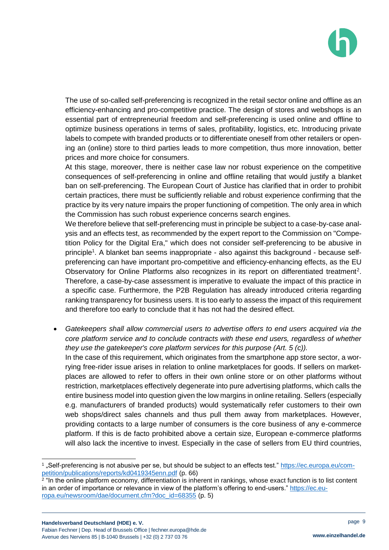

The use of so-called self-preferencing is recognized in the retail sector online and offline as an efficiency-enhancing and pro-competitive practice. The design of stores and webshops is an essential part of entrepreneurial freedom and self-preferencing is used online and offline to optimize business operations in terms of sales, profitability, logistics, etc. Introducing private labels to compete with branded products or to differentiate oneself from other retailers or opening an (online) store to third parties leads to more competition, thus more innovation, better prices and more choice for consumers.

At this stage, moreover, there is neither case law nor robust experience on the competitive consequences of self-preferencing in online and offline retailing that would justify a blanket ban on self-preferencing. The European Court of Justice has clarified that in order to prohibit certain practices, there must be sufficiently reliable and robust experience confirming that the practice by its very nature impairs the proper functioning of competition. The only area in which the Commission has such robust experience concerns search engines.

We therefore believe that self-preferencing must in principle be subject to a case-by-case analysis and an effects test, as recommended by the expert report to the Commission on "Competition Policy for the Digital Era," which does not consider self-preferencing to be abusive in principle<sup>1</sup>. A blanket ban seems inappropriate - also against this background - because selfpreferencing can have important pro-competitive and efficiency-enhancing effects, as the EU Observatory for Online Platforms also recognizes in its report on differentiated treatment<sup>2</sup>. Therefore, a case-by-case assessment is imperative to evaluate the impact of this practice in a specific case. Furthermore, the P2B Regulation has already introduced criteria regarding ranking transparency for business users. It is too early to assess the impact of this requirement and therefore too early to conclude that it has not had the desired effect.

 *Gatekeepers shall allow commercial users to advertise offers to end users acquired via the core platform service and to conclude contracts with these end users, regardless of whether they use the gatekeeper's core platform services for this purpose (Art. 5 (c)).*

In the case of this requirement, which originates from the smartphone app store sector, a worrying free-rider issue arises in relation to online marketplaces for goods. If sellers on marketplaces are allowed to refer to offers in their own online store or on other platforms without restriction, marketplaces effectively degenerate into pure advertising platforms, which calls the entire business model into question given the low margins in online retailing. Sellers (especially e.g. manufacturers of branded products) would systematically refer customers to their own web shops/direct sales channels and thus pull them away from marketplaces. However, providing contacts to a large number of consumers is the core business of any e-commerce platform. If this is de facto prohibited above a certain size, European e-commerce platforms will also lack the incentive to invest. Especially in the case of sellers from EU third countries,

l

<sup>&</sup>lt;sup>1</sup> "Self-preferencing is not abusive per se, but should be subject to an effects test." <u>https://ec.europa.eu/com-</u> [petition/publications/reports/kd0419345enn.pdf](https://ec.europa.eu/competition/publications/reports/kd0419345enn.pdf) (p. 66)

<sup>2</sup> "In the online platform economy, differentiation is inherent in rankings, whose exact function is to list content in an order of importance or relevance in view of the platform's offering to end-users." [https://ec.eu](https://ec.europa.eu/newsroom/dae/document.cfm?doc_id=68355)[ropa.eu/newsroom/dae/document.cfm?doc\\_id=68355](https://ec.europa.eu/newsroom/dae/document.cfm?doc_id=68355) (p. 5)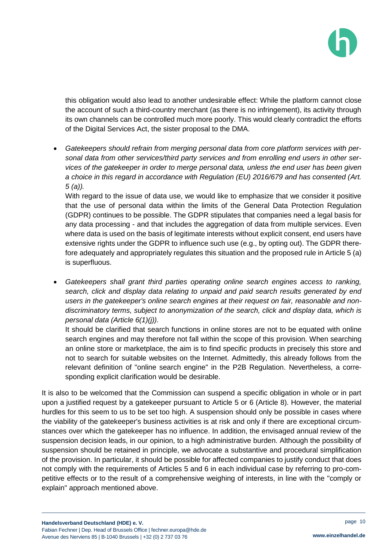

this obligation would also lead to another undesirable effect: While the platform cannot close the account of such a third-country merchant (as there is no infringement), its activity through its own channels can be controlled much more poorly. This would clearly contradict the efforts of the Digital Services Act, the sister proposal to the DMA.

 *Gatekeepers should refrain from merging personal data from core platform services with personal data from other services/third party services and from enrolling end users in other services of the gatekeeper in order to merge personal data, unless the end user has been given a choice in this regard in accordance with Regulation (EU) 2016/679 and has consented (Art. 5 (a)).*

With regard to the issue of data use, we would like to emphasize that we consider it positive that the use of personal data within the limits of the General Data Protection Regulation (GDPR) continues to be possible. The GDPR stipulates that companies need a legal basis for any data processing - and that includes the aggregation of data from multiple services. Even where data is used on the basis of legitimate interests without explicit consent, end users have extensive rights under the GDPR to influence such use (e.g., by opting out). The GDPR therefore adequately and appropriately regulates this situation and the proposed rule in Article 5 (a) is superfluous.

 *Gatekeepers shall grant third parties operating online search engines access to ranking, search, click and display data relating to unpaid and paid search results generated by end users in the gatekeeper's online search engines at their request on fair, reasonable and nondiscriminatory terms, subject to anonymization of the search, click and display data, which is personal data (Article 6(1)(j)).*

It should be clarified that search functions in online stores are not to be equated with online search engines and may therefore not fall within the scope of this provision. When searching an online store or marketplace, the aim is to find specific products in precisely this store and not to search for suitable websites on the Internet. Admittedly, this already follows from the relevant definition of "online search engine" in the P2B Regulation. Nevertheless, a corresponding explicit clarification would be desirable.

It is also to be welcomed that the Commission can suspend a specific obligation in whole or in part upon a justified request by a gatekeeper pursuant to Article 5 or 6 (Article 8). However, the material hurdles for this seem to us to be set too high. A suspension should only be possible in cases where the viability of the gatekeeper's business activities is at risk and only if there are exceptional circumstances over which the gatekeeper has no influence. In addition, the envisaged annual review of the suspension decision leads, in our opinion, to a high administrative burden. Although the possibility of suspension should be retained in principle, we advocate a substantive and procedural simplification of the provision. In particular, it should be possible for affected companies to justify conduct that does not comply with the requirements of Articles 5 and 6 in each individual case by referring to pro-competitive effects or to the result of a comprehensive weighing of interests, in line with the "comply or explain" approach mentioned above.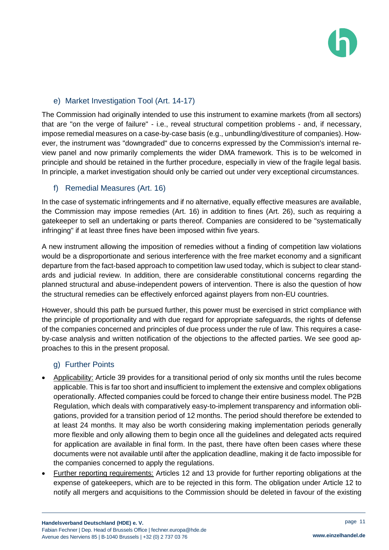### e) Market Investigation Tool (Art. 14-17)

The Commission had originally intended to use this instrument to examine markets (from all sectors) that are "on the verge of failure" - i.e., reveal structural competition problems - and, if necessary, impose remedial measures on a case-by-case basis (e.g., unbundling/divestiture of companies). However, the instrument was "downgraded" due to concerns expressed by the Commission's internal review panel and now primarily complements the wider DMA framework. This is to be welcomed in principle and should be retained in the further procedure, especially in view of the fragile legal basis. In principle, a market investigation should only be carried out under very exceptional circumstances.

#### f) Remedial Measures (Art. 16)

In the case of systematic infringements and if no alternative, equally effective measures are available, the Commission may impose remedies (Art. 16) in addition to fines (Art. 26), such as requiring a gatekeeper to sell an undertaking or parts thereof. Companies are considered to be "systematically infringing" if at least three fines have been imposed within five years.

A new instrument allowing the imposition of remedies without a finding of competition law violations would be a disproportionate and serious interference with the free market economy and a significant departure from the fact-based approach to competition law used today, which is subject to clear standards and judicial review. In addition, there are considerable constitutional concerns regarding the planned structural and abuse-independent powers of intervention. There is also the question of how the structural remedies can be effectively enforced against players from non-EU countries.

However, should this path be pursued further, this power must be exercised in strict compliance with the principle of proportionality and with due regard for appropriate safeguards, the rights of defense of the companies concerned and principles of due process under the rule of law. This requires a caseby-case analysis and written notification of the objections to the affected parties. We see good approaches to this in the present proposal.

#### g) Further Points

- Applicability: Article 39 provides for a transitional period of only six months until the rules become applicable. This is far too short and insufficient to implement the extensive and complex obligations operationally. Affected companies could be forced to change their entire business model. The P2B Regulation, which deals with comparatively easy-to-implement transparency and information obligations, provided for a transition period of 12 months. The period should therefore be extended to at least 24 months. It may also be worth considering making implementation periods generally more flexible and only allowing them to begin once all the guidelines and delegated acts required for application are available in final form. In the past, there have often been cases where these documents were not available until after the application deadline, making it de facto impossible for the companies concerned to apply the regulations.
- Further reporting requirements: Articles 12 and 13 provide for further reporting obligations at the expense of gatekeepers, which are to be rejected in this form. The obligation under Article 12 to notify all mergers and acquisitions to the Commission should be deleted in favour of the existing